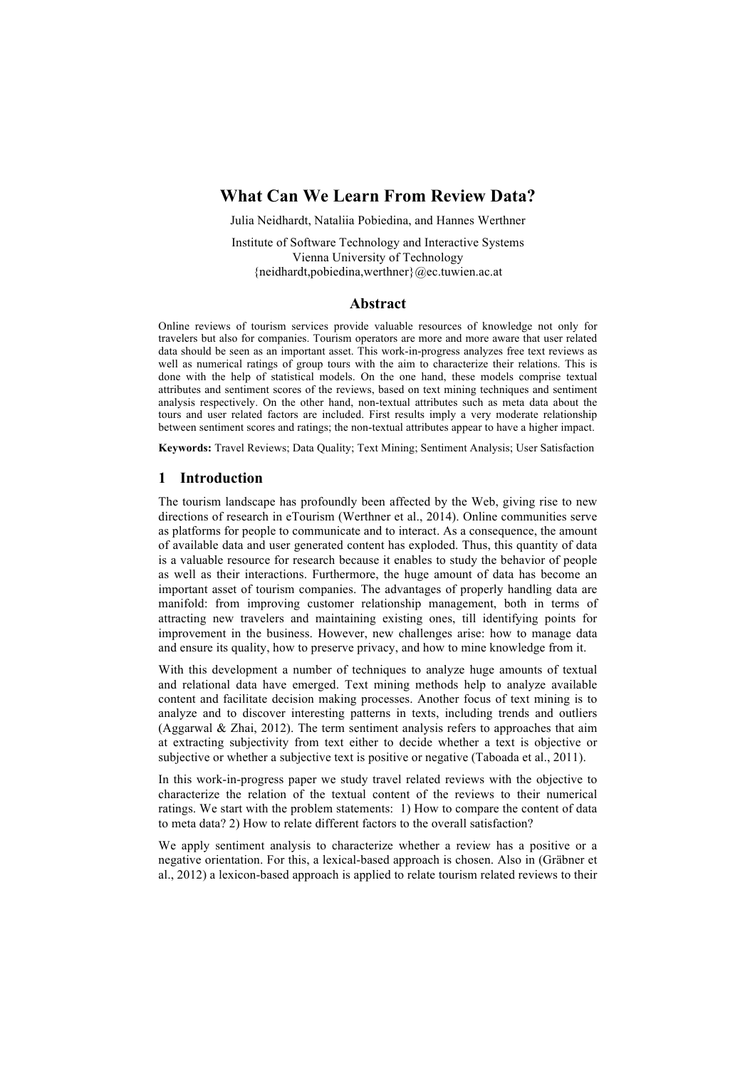# **What Can We Learn From Review Data?**

Julia Neidhardt, Nataliia Pobiedina, and Hannes Werthner

Institute of Software Technology and Interactive Systems Vienna University of Technology {neidhardt,pobiedina,werthner}@ec.tuwien.ac.at

#### **Abstract**

Online reviews of tourism services provide valuable resources of knowledge not only for travelers but also for companies. Tourism operators are more and more aware that user related data should be seen as an important asset. This work-in-progress analyzes free text reviews as well as numerical ratings of group tours with the aim to characterize their relations. This is done with the help of statistical models. On the one hand, these models comprise textual attributes and sentiment scores of the reviews, based on text mining techniques and sentiment analysis respectively. On the other hand, non-textual attributes such as meta data about the tours and user related factors are included. First results imply a very moderate relationship between sentiment scores and ratings; the non-textual attributes appear to have a higher impact.

**Keywords:** Travel Reviews; Data Quality; Text Mining; Sentiment Analysis; User Satisfaction

### **1 Introduction**

The tourism landscape has profoundly been affected by the Web, giving rise to new directions of research in eTourism (Werthner et al., 2014). Online communities serve as platforms for people to communicate and to interact. As a consequence, the amount of available data and user generated content has exploded. Thus, this quantity of data is a valuable resource for research because it enables to study the behavior of people as well as their interactions. Furthermore, the huge amount of data has become an important asset of tourism companies. The advantages of properly handling data are manifold: from improving customer relationship management, both in terms of attracting new travelers and maintaining existing ones, till identifying points for improvement in the business. However, new challenges arise: how to manage data and ensure its quality, how to preserve privacy, and how to mine knowledge from it.

With this development a number of techniques to analyze huge amounts of textual and relational data have emerged. Text mining methods help to analyze available content and facilitate decision making processes. Another focus of text mining is to analyze and to discover interesting patterns in texts, including trends and outliers (Aggarwal & Zhai, 2012). The term sentiment analysis refers to approaches that aim at extracting subjectivity from text either to decide whether a text is objective or subjective or whether a subjective text is positive or negative (Taboada et al., 2011).

In this work-in-progress paper we study travel related reviews with the objective to characterize the relation of the textual content of the reviews to their numerical ratings. We start with the problem statements: 1) How to compare the content of data to meta data? 2) How to relate different factors to the overall satisfaction?

We apply sentiment analysis to characterize whether a review has a positive or a negative orientation. For this, a lexical-based approach is chosen. Also in (Gräbner et al., 2012) a lexicon-based approach is applied to relate tourism related reviews to their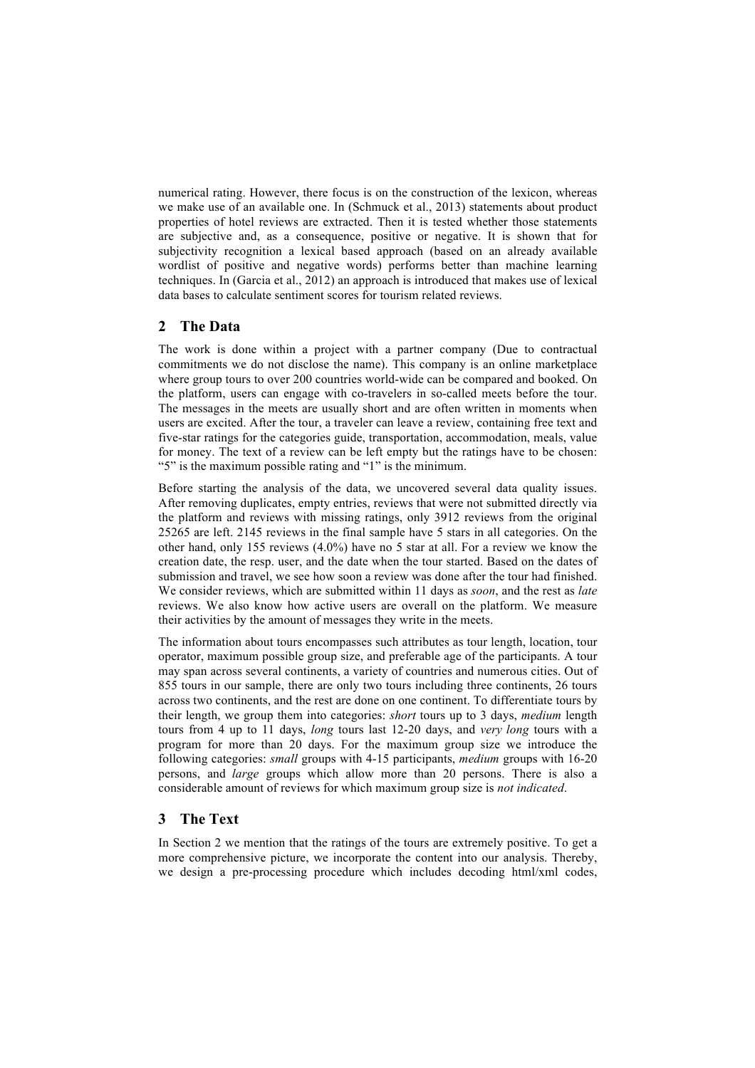numerical rating. However, there focus is on the construction of the lexicon, whereas we make use of an available one. In (Schmuck et al., 2013) statements about product properties of hotel reviews are extracted. Then it is tested whether those statements are subjective and, as a consequence, positive or negative. It is shown that for subjectivity recognition a lexical based approach (based on an already available wordlist of positive and negative words) performs better than machine learning techniques. In (Garcia et al., 2012) an approach is introduced that makes use of lexical data bases to calculate sentiment scores for tourism related reviews.

## **2 The Data**

The work is done within a project with a partner company (Due to contractual commitments we do not disclose the name). This company is an online marketplace where group tours to over 200 countries world-wide can be compared and booked. On the platform, users can engage with co-travelers in so-called meets before the tour. The messages in the meets are usually short and are often written in moments when users are excited. After the tour, a traveler can leave a review, containing free text and five-star ratings for the categories guide, transportation, accommodation, meals, value for money. The text of a review can be left empty but the ratings have to be chosen: "5" is the maximum possible rating and "1" is the minimum.

Before starting the analysis of the data, we uncovered several data quality issues. After removing duplicates, empty entries, reviews that were not submitted directly via the platform and reviews with missing ratings, only 3912 reviews from the original 25265 are left. 2145 reviews in the final sample have 5 stars in all categories. On the other hand, only 155 reviews (4.0%) have no 5 star at all. For a review we know the creation date, the resp. user, and the date when the tour started. Based on the dates of submission and travel, we see how soon a review was done after the tour had finished. We consider reviews, which are submitted within 11 days as *soon*, and the rest as *late* reviews. We also know how active users are overall on the platform. We measure their activities by the amount of messages they write in the meets.

The information about tours encompasses such attributes as tour length, location, tour operator, maximum possible group size, and preferable age of the participants. A tour may span across several continents, a variety of countries and numerous cities. Out of 855 tours in our sample, there are only two tours including three continents, 26 tours across two continents, and the rest are done on one continent. To differentiate tours by their length, we group them into categories: *short* tours up to 3 days, *medium* length tours from 4 up to 11 days, *long* tours last 12-20 days, and *very long* tours with a program for more than 20 days. For the maximum group size we introduce the following categories: *small* groups with 4-15 participants, *medium* groups with 16-20 persons, and *large* groups which allow more than 20 persons. There is also a considerable amount of reviews for which maximum group size is *not indicated*.

### **3 The Text**

In Section 2 we mention that the ratings of the tours are extremely positive. To get a more comprehensive picture, we incorporate the content into our analysis. Thereby, we design a pre-processing procedure which includes decoding html/xml codes,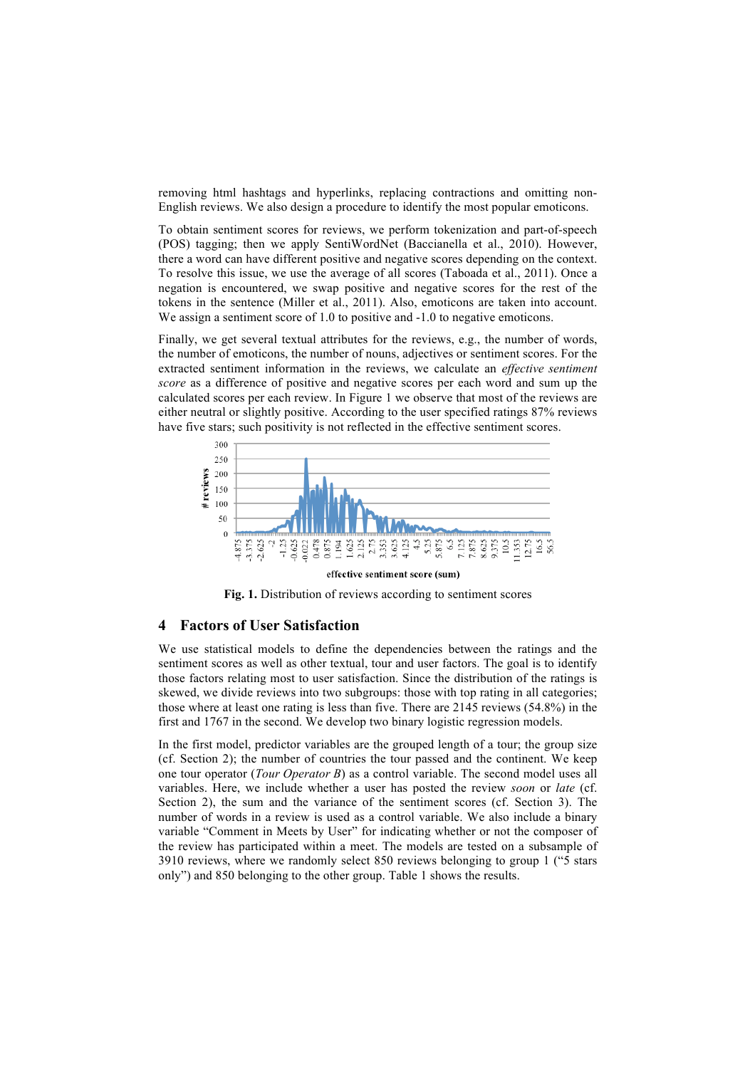removing html hashtags and hyperlinks, replacing contractions and omitting non-English reviews. We also design a procedure to identify the most popular emoticons.

To obtain sentiment scores for reviews, we perform tokenization and part-of-speech (POS) tagging; then we apply SentiWordNet (Baccianella et al., 2010). However, there a word can have different positive and negative scores depending on the context. To resolve this issue, we use the average of all scores (Taboada et al., 2011). Once a negation is encountered, we swap positive and negative scores for the rest of the tokens in the sentence (Miller et al., 2011). Also, emoticons are taken into account. We assign a sentiment score of 1.0 to positive and  $-1.0$  to negative emoticons.

Finally, we get several textual attributes for the reviews, e.g., the number of words, the number of emoticons, the number of nouns, adjectives or sentiment scores. For the extracted sentiment information in the reviews, we calculate an *effective sentiment score* as a difference of positive and negative scores per each word and sum up the calculated scores per each review. In Figure 1 we observe that most of the reviews are either neutral or slightly positive. According to the user specified ratings 87% reviews have five stars; such positivity is not reflected in the effective sentiment scores.



effective sentiment score (sum)



#### **4 Factors of User Satisfaction**

We use statistical models to define the dependencies between the ratings and the sentiment scores as well as other textual, tour and user factors. The goal is to identify those factors relating most to user satisfaction. Since the distribution of the ratings is skewed, we divide reviews into two subgroups: those with top rating in all categories; those where at least one rating is less than five. There are 2145 reviews (54.8%) in the first and 1767 in the second. We develop two binary logistic regression models.

In the first model, predictor variables are the grouped length of a tour; the group size (cf. Section 2); the number of countries the tour passed and the continent. We keep one tour operator (*Tour Operator B*) as a control variable. The second model uses all variables. Here, we include whether a user has posted the review *soon* or *late* (cf. Section 2), the sum and the variance of the sentiment scores (cf. Section 3). The number of words in a review is used as a control variable. We also include a binary variable "Comment in Meets by User" for indicating whether or not the composer of the review has participated within a meet. The models are tested on a subsample of 3910 reviews, where we randomly select 850 reviews belonging to group 1 ("5 stars only") and 850 belonging to the other group. Table 1 shows the results.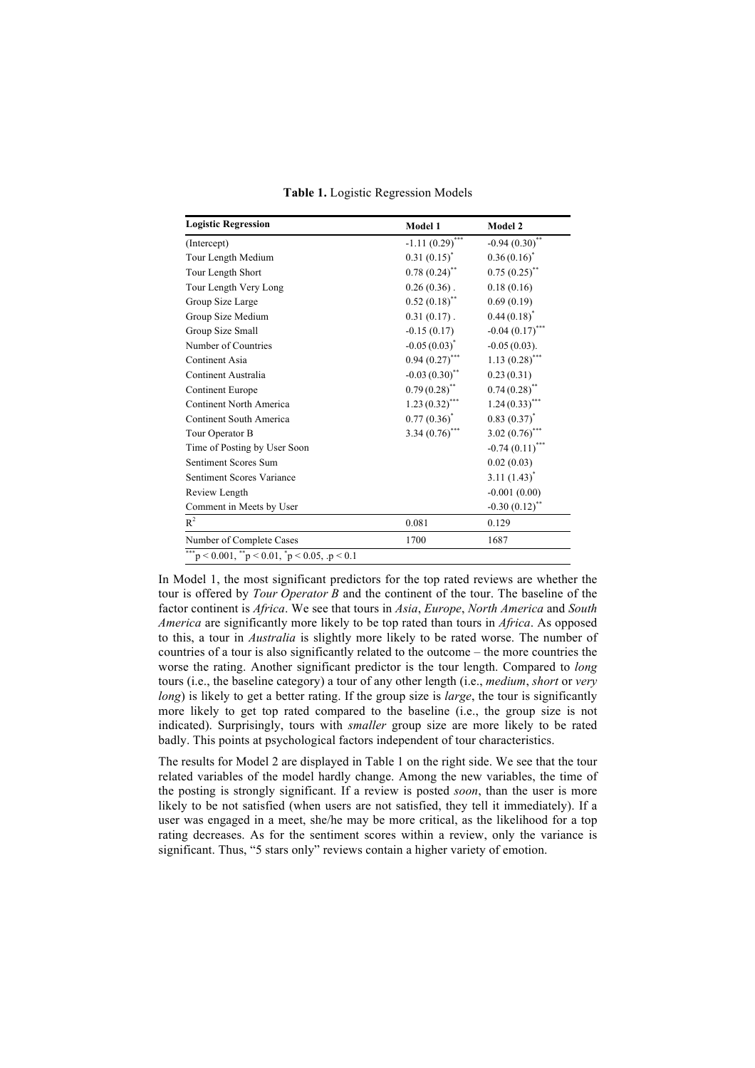**Table 1.** Logistic Regression Models

| <b>Logistic Regression</b>                                                     | Model 1           | Model 2                      |
|--------------------------------------------------------------------------------|-------------------|------------------------------|
| (Intercept)                                                                    | $-1.11(0.29)$ *** | $-0.94(0.30)$ **             |
| Tour Length Medium                                                             | $0.31(0.15)^{*}$  | $0.36(0.16)^{*}$             |
| Tour Length Short                                                              | $0.78(0.24)$ **   | $0.75(0.25)$ **              |
| Tour Length Very Long                                                          | $0.26(0.36)$ .    | 0.18(0.16)                   |
| Group Size Large                                                               | $0.52(0.18)$ **   | 0.69(0.19)                   |
| Group Size Medium                                                              | $0.31(0.17)$ .    | $0.44(0.18)^{*}$             |
| Group Size Small                                                               | $-0.15(0.17)$     | $-0.04(0.17)$ ***            |
| Number of Countries                                                            | $-0.05(0.03)^{*}$ | $-0.05(0.03)$ .              |
| Continent Asia                                                                 | $0.94(0.27)$ ***  | $1.13(0.28)$ ***             |
| Continent Australia                                                            | $-0.03(0.30)$ **  | 0.23(0.31)                   |
| Continent Europe                                                               | $0.79(0.28)$ **   | $0.74(0.28)$ **              |
| Continent North America                                                        | $1.23(0.32)$ ***  | $1.24(0.33)$ ***             |
| Continent South America                                                        | $0.77(0.36)^*$    | $0.83(0.37)^{*}$             |
| Tour Operator B                                                                | 3.34 $(0.76)$ *** | 3.02 $(0.76)$ ***            |
| Time of Posting by User Soon                                                   |                   | $-0.74(0.11)$ <sup>***</sup> |
| Sentiment Scores Sum                                                           |                   | 0.02(0.03)                   |
| Sentiment Scores Variance                                                      |                   | $3.11 (1.43)^*$              |
| Review Length                                                                  |                   | $-0.001(0.00)$               |
| Comment in Meets by User                                                       |                   | $-0.30(0.12)$ **             |
| $R^2$                                                                          | 0.081             | 0.129                        |
| Number of Complete Cases                                                       | 1700              | 1687                         |
| ***<br>$p < 0.001$ , $\binom{1}{p} < 0.01$ , $\binom{1}{p} < 0.05$ , $p < 0.1$ |                   |                              |

In Model 1, the most significant predictors for the top rated reviews are whether the tour is offered by *Tour Operator B* and the continent of the tour. The baseline of the factor continent is *Africa*. We see that tours in *Asia*, *Europe*, *North America* and *South America* are significantly more likely to be top rated than tours in *Africa*. As opposed to this, a tour in *Australia* is slightly more likely to be rated worse. The number of countries of a tour is also significantly related to the outcome – the more countries the worse the rating. Another significant predictor is the tour length. Compared to *long* tours (i.e., the baseline category) a tour of any other length (i.e., *medium*, *short* or *very long*) is likely to get a better rating. If the group size is *large*, the tour is significantly more likely to get top rated compared to the baseline (i.e., the group size is not indicated). Surprisingly, tours with *smaller* group size are more likely to be rated badly. This points at psychological factors independent of tour characteristics.

Statistical models

The results for Model 2 are displayed in Table 1 on the right side. We see that the tour related variables of the model hardly change. Among the new variables, the time of the posting is strongly significant. If a review is posted *soon*, than the user is more likely to be not satisfied (when users are not satisfied, they tell it immediately). If a user was engaged in a meet, she/he may be more critical, as the likelihood for a top rating decreases. As for the sentiment scores within a review, only the variance is significant. Thus, "5 stars only" reviews contain a higher variety of emotion.